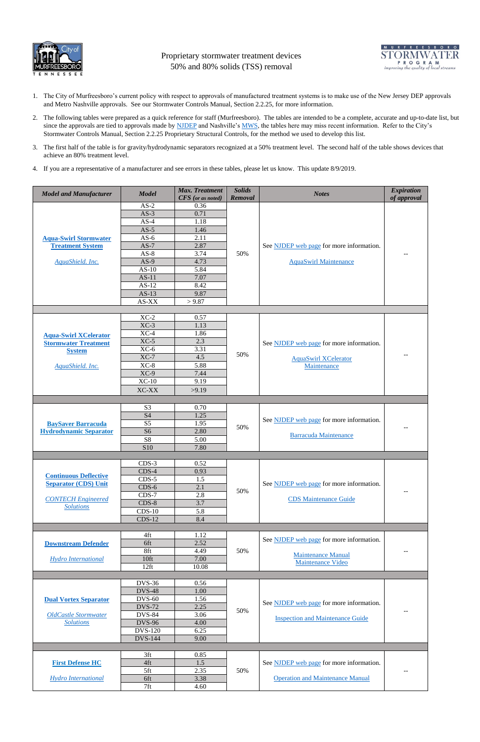

Proprietary stormwater treatment devices 50% and 80% solids (TSS) removal



- 1. The City of Murfreesboro's current policy with respect to approvals of manufactured treatment systems is to make use of the New Jersey DEP approvals and Metro Nashville approvals. See our Stormwater Controls Manual, Section 2.2.25, for more information.
- 2. The following tables were prepared as a quick reference for staff (Murfreesboro). The tables are intended to be a complete, accurate and up-to-date list, but since the approvals are tied to approvals made by [NJDEP](http://www.njstormwater.org/treatment.html) and Nashville's [MWS,](http://www.nashville.gov/Water-Services/Developers/Stormwater-Review/Stormwater-Management-Manual/Regulations.aspx) the tables here may miss recent information. Refer to the City's Stormwater Controls Manual, Section 2.2.25 Proprietary Structural Controls, for the method we used to develop this list.
- 3. The first half of the table is for gravity/hydrodynamic separators recognized at a 50% treatment level. The second half of the table shows devices that achieve an 80% treatment level.
- 4. If you are a representative of a manufacturer and see errors in these tables, please let us know. This update 8/9/2019.

| <b>Model and Manufacturer</b> | <b>Model</b>                     | <b>Max. Treatment</b>    | <b>Solids</b> | <b>Notes</b>                                   | <b>Expiration</b> |
|-------------------------------|----------------------------------|--------------------------|---------------|------------------------------------------------|-------------------|
|                               |                                  | <b>CFS</b> (or as noted) | Removal       |                                                | of approval       |
|                               | $AS-2$                           | 0.36                     |               |                                                |                   |
|                               | $AS-3$                           | 0.71                     |               |                                                |                   |
|                               | $AS-4$                           | 1.18                     |               |                                                |                   |
|                               | $AS-5$                           | 1.46                     |               |                                                |                   |
| <b>Aqua-Swirl Stormwater</b>  | $AS-6$                           | 2.11                     |               |                                                |                   |
| <b>Treatment System</b>       | $AS-7$                           | 2.87                     |               | See NJDEP web page for more information.       |                   |
|                               | $AS-8$                           | 3.74                     | 50%           |                                                | --                |
| AquaShield. Inc.              | $AS-9$                           | 4.73                     |               | <b>AquaSwirl Maintenance</b>                   |                   |
|                               | $AS-10$                          | 5.84                     |               |                                                |                   |
|                               | $AS-11$                          | 7.07                     |               |                                                |                   |
|                               | $AS-12$                          | 8.42                     |               |                                                |                   |
|                               | $AS-13$                          | 9.87                     |               |                                                |                   |
|                               | AS-XX                            | > 9.87                   |               |                                                |                   |
|                               |                                  |                          |               |                                                |                   |
|                               | $XC-2$                           | 0.57                     |               |                                                |                   |
|                               | $XC-3$<br>$XC-4$                 | 1.13<br>1.86             |               |                                                |                   |
| <b>Aqua-Swirl XCelerator</b>  | $XC-5$                           | 2.3                      |               |                                                |                   |
| <b>Stormwater Treatment</b>   | $XC-6$                           | 3.31                     |               | See NJDEP web page for more information.       | --                |
| <b>System</b>                 | $XC-7$                           | 4.5                      | 50%           |                                                |                   |
|                               | $XC-8$                           | 5.88                     |               | <b>AquaSwirl XCelerator</b>                    |                   |
| AquaShield. Inc.              | $XC-9$                           | 7.44                     |               | Maintenance                                    |                   |
|                               | $XC-10$                          | 9.19                     |               |                                                |                   |
|                               |                                  |                          |               |                                                |                   |
|                               | XC-XX                            | >9.19                    |               |                                                |                   |
|                               |                                  |                          |               |                                                |                   |
|                               | S <sub>3</sub>                   | 0.70                     |               |                                                |                   |
|                               | <b>S4</b>                        | 1.25                     |               | See NJDEP web page for more information.       |                   |
| <b>BaySaver Barracuda</b>     | S <sub>5</sub>                   | 1.95                     | 50%           |                                                | --                |
| <b>Hydrodynamic Separator</b> | S <sub>6</sub><br>S <sub>8</sub> | 2.80<br>5.00             |               | <b>Barracuda Maintenance</b>                   |                   |
|                               | S10                              | 7.80                     |               |                                                |                   |
|                               |                                  |                          |               |                                                |                   |
|                               | $CDS-3$                          | 0.52                     |               |                                                |                   |
|                               | $CDS-4$                          | 0.93                     |               |                                                |                   |
| <b>Continuous Deflective</b>  | $CDS-5$                          | 1.5                      |               |                                                |                   |
| <b>Separator (CDS) Unit</b>   | $CDS-6$                          | 2.1                      |               | See NJDEP web page for more information.       |                   |
|                               | $CDS-7$                          | 2.8                      | 50%           |                                                | $-$               |
| <b>CONTECH Engineered</b>     | $CDS-8$                          | 3.7                      |               | <b>CDS</b> Maintenance Guide                   |                   |
| <b>Solutions</b>              | $CDS-10$                         | 5.8                      |               |                                                |                   |
|                               | $CDS-12$                         | 8.4                      |               |                                                |                   |
|                               |                                  |                          |               |                                                |                   |
|                               | 4ft                              | 1.12                     |               |                                                |                   |
| <b>Downstream Defender</b>    | 6ft                              | 2.52                     |               | See NJDEP web page for more information.       | --                |
|                               | 8ft                              | 4.49                     | 50%           |                                                |                   |
| <b>Hydro International</b>    | 10 <sup>ft</sup>                 | 7.00                     |               | <b>Maintenance Manual</b><br>Maintenance Video |                   |
|                               | $12$ ft                          | 10.08                    |               |                                                |                   |
|                               |                                  |                          |               |                                                |                   |
|                               | <b>DVS-36</b>                    | 0.56                     | 50%           |                                                |                   |
|                               | <b>DVS-48</b>                    | 1.00                     |               |                                                |                   |
| <b>Dual Vortex Separator</b>  | <b>DVS-60</b>                    | 1.56                     |               | See NJDEP web page for more information.       |                   |
|                               | <b>DVS-72</b>                    | 2.25                     |               |                                                | --                |
| <b>OldCastle Stormwater</b>   | <b>DVS-84</b>                    | 3.06                     |               | <b>Inspection and Maintenance Guide</b>        |                   |
| <b>Solutions</b>              | <b>DVS-96</b>                    | 4.00                     |               |                                                |                   |
|                               | <b>DVS-120</b>                   | 6.25                     |               |                                                |                   |
|                               | <b>DVS-144</b>                   | 9.00                     |               |                                                |                   |
|                               |                                  |                          |               |                                                |                   |
|                               | 3ft                              | 0.85                     | 50%           |                                                |                   |
| <b>First Defense HC</b>       | 4ft                              | 1.5                      |               | See NJDEP web page for more information.       |                   |
|                               | 5ft                              | 2.35                     |               |                                                | $- -$             |
| <b>Hydro International</b>    | 6ft                              | 3.38                     |               | <b>Operation and Maintenance Manual</b>        |                   |
|                               | 7ft                              | 4.60                     |               |                                                |                   |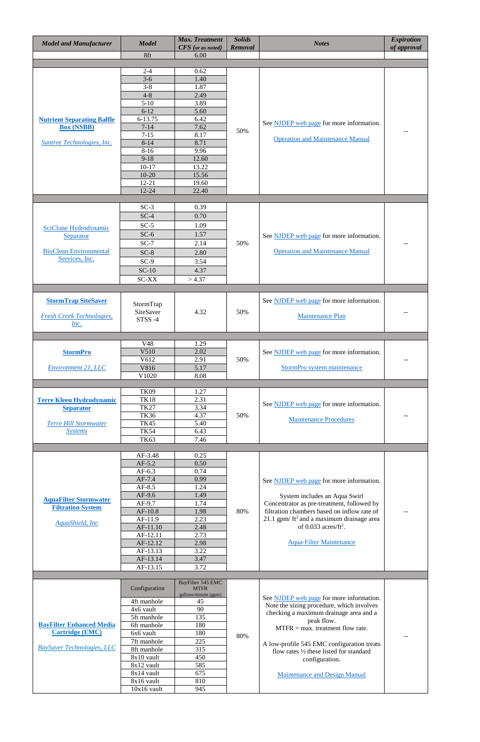| <b>Model and Manufacturer</b>                       | <b>Model</b><br>8ft        | <b>Max. Treatment</b><br>CFS (or as noted)<br>6.00 | <b>Solids</b><br>Removal | <b>Notes</b>                                                                        | <b>Expiration</b><br>of approval |
|-----------------------------------------------------|----------------------------|----------------------------------------------------|--------------------------|-------------------------------------------------------------------------------------|----------------------------------|
|                                                     |                            |                                                    |                          |                                                                                     |                                  |
|                                                     | $2 - 4$                    | 0.62                                               |                          |                                                                                     |                                  |
|                                                     | $3-6$<br>$3 - 8$           | 1.40<br>1.87                                       |                          |                                                                                     |                                  |
|                                                     | $4 - 8$                    | 2.49                                               |                          |                                                                                     |                                  |
|                                                     | $5 - 10$                   | 3.89                                               |                          |                                                                                     |                                  |
|                                                     | $6 - 12$                   | 5.60                                               |                          |                                                                                     |                                  |
| <b>Nutrient Separating Baffle</b>                   | 6-13.75                    | 6.42                                               |                          | See NJDEP web page for more information.                                            |                                  |
| <b>Box (NSBB)</b>                                   | $7 - 14$<br>$7 - 15$       | 7.62<br>8.17                                       | 50%                      |                                                                                     | --                               |
| Suntree Technologies, Inc.                          | $8 - 14$                   | 8.71                                               |                          | <b>Operation and Maintenance Manual</b>                                             |                                  |
|                                                     | $8-16$                     | 9.96                                               |                          |                                                                                     |                                  |
|                                                     | $9-18$                     | 12.60                                              |                          |                                                                                     |                                  |
|                                                     | $10-17$<br>$10 - 20$       | 13.22<br>15.56                                     |                          |                                                                                     |                                  |
|                                                     | $12 - 21$                  | 19.60                                              |                          |                                                                                     |                                  |
|                                                     | 12-24                      | 22.40                                              |                          |                                                                                     |                                  |
|                                                     |                            |                                                    |                          |                                                                                     |                                  |
|                                                     | $SC-3$                     | 0.39                                               |                          |                                                                                     |                                  |
|                                                     | $SC-4$                     | 0.70                                               |                          |                                                                                     |                                  |
| SciClone Hydrodynamic                               | $SC-5$                     | 1.09                                               |                          |                                                                                     |                                  |
| Separator                                           | $SC-6$                     | 1.57                                               |                          | See NJDEP web page for more information.                                            |                                  |
| <b>BioClean Environmental</b>                       | $SC-7$                     | 2.14                                               | 50%                      | <b>Operation and Maintenance Manual</b>                                             | --                               |
| Services, Inc.                                      | $SC-8$                     | 2.80                                               |                          |                                                                                     |                                  |
|                                                     | $SC-9$<br>$SC-10$          | 3.54<br>4.37                                       |                          |                                                                                     |                                  |
|                                                     | <b>SC-XX</b>               | >4.37                                              |                          |                                                                                     |                                  |
|                                                     |                            |                                                    |                          |                                                                                     |                                  |
|                                                     |                            |                                                    |                          |                                                                                     |                                  |
| <b>StormTrap SiteSaver</b>                          | StormTrap                  |                                                    |                          | See NJDEP web page for more information.                                            |                                  |
| <b>Fresh Creek Technologies,</b>                    | SiteSaver<br>STSS-4        | 4.32                                               | 50%                      | <b>Maintenance Plan</b>                                                             |                                  |
| Inc.                                                |                            |                                                    |                          |                                                                                     |                                  |
|                                                     |                            |                                                    |                          |                                                                                     |                                  |
|                                                     | V48                        | 1.29                                               |                          |                                                                                     |                                  |
| <b>StormPro</b>                                     | V510<br>V612               | 2.02<br>2.91                                       | 50%                      | See NJDEP web page for more information.                                            |                                  |
| Environment 21, LLC                                 | V816                       | 5.17                                               |                          | StormPro system maintenance                                                         | --                               |
|                                                     | V1020                      | 8.08                                               |                          |                                                                                     |                                  |
|                                                     |                            |                                                    |                          |                                                                                     |                                  |
|                                                     | <b>TK09</b><br><b>TK18</b> | 1.27<br>2.31                                       |                          |                                                                                     |                                  |
| <b>Terre Kleen Hydrodynamic</b><br><b>Separator</b> | <b>TK27</b>                | 3.34                                               |                          | See NJDEP web page for more information.                                            |                                  |
|                                                     | <b>TK36</b>                | 4.37                                               | 50%                      |                                                                                     | --                               |
| <b>Terre Hill Stormwater</b>                        | <b>TK45</b>                | 5.40                                               |                          | <b>Maintenance Procedures</b>                                                       |                                  |
| <b>Systems</b>                                      | <b>TK54</b>                | 6.43                                               |                          |                                                                                     |                                  |
|                                                     | <b>TK63</b>                | 7.46                                               |                          |                                                                                     |                                  |
|                                                     | AF-3.48                    | 0.25                                               |                          |                                                                                     |                                  |
|                                                     | $AF-5.2$                   | 0.50                                               |                          |                                                                                     |                                  |
|                                                     | $AF-6.3$                   | 0.74                                               |                          |                                                                                     |                                  |
|                                                     | $AF-7.4$                   | 0.99                                               |                          | See NJDEP web page for more information.                                            |                                  |
|                                                     | $AF-8.5$<br>AF-9.6         | 1.24<br>1.49                                       |                          | System includes an Aqua Swirl                                                       |                                  |
| <b>AquaFilter Stormwater</b>                        | AF-9.7                     | 1.74                                               |                          | Concentrator as pre-treatment, followed by                                          |                                  |
| <b>Filtration System</b>                            | $AF-10.8$                  | 1.98                                               | 80%                      | filtration chambers based on inflow rate of                                         | --                               |
| <b>AquaShield, Inc.</b>                             | AF-11.9                    | 2.23                                               |                          | 21.1 gpm/ $ft2$ and a maximum drainage area                                         |                                  |
|                                                     | AF-11.10<br>AF-12.11       | 2.48<br>2.73                                       |                          | of $0.033$ acres/ft <sup>2</sup> .                                                  |                                  |
|                                                     | AF-12.12                   | 2.98                                               |                          | <b>Aqua-Filter Maintenance</b>                                                      |                                  |
|                                                     | AF-13.13                   | 3.22                                               |                          |                                                                                     |                                  |
|                                                     | AF-13.14                   | 3.47                                               |                          |                                                                                     |                                  |
|                                                     | AF-13.15                   | 3.72                                               |                          |                                                                                     |                                  |
|                                                     |                            | BayFilter 545 EMC                                  |                          |                                                                                     |                                  |
|                                                     | Configuration              | <b>MTFR</b><br>gallons/minute (gpm)                |                          |                                                                                     |                                  |
|                                                     | 4ft manhole                | 45                                                 |                          | See NJDEP web page for more information.                                            |                                  |
| <b>BayFilter Enhanced Media</b>                     | 4x6 vault                  | 90                                                 |                          | Note the sizing procedure, which involves<br>checking a maximum drainage area and a |                                  |
|                                                     | 5ft manhole                | 135                                                |                          | peak flow.                                                                          |                                  |
| <b>Cartridge (EMC)</b>                              | 6ft manhole<br>6x6 vault   | 180<br>180                                         |                          | $MTFR = max.$ treatment flow rate.                                                  |                                  |
|                                                     | 7ft manhole                | 225                                                | 80%                      | A low-profile 545 EMC configuration treats                                          | $-\, -$                          |
| <b>BaySaver Technologies, LLC</b>                   | 8ft manhole                | 315                                                |                          | flow rates 1/2 these listed for standard                                            |                                  |
|                                                     | 8x10 vault                 | 450                                                |                          | configuration.                                                                      |                                  |
|                                                     | 8x12 vault                 | 585                                                |                          |                                                                                     |                                  |
|                                                     | 8x14 vault<br>8x16 vault   | 675<br>810                                         |                          | <b>Maintenance and Design Manual</b>                                                |                                  |
|                                                     | $10x16$ vault              | 945                                                |                          |                                                                                     |                                  |